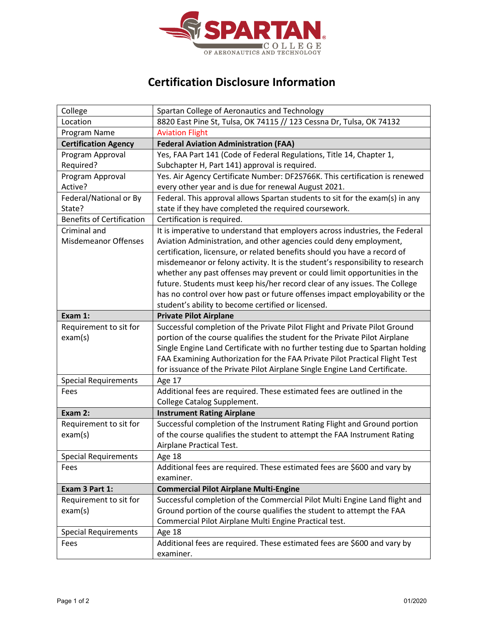

## **Certification Disclosure Information**

| College                          | Spartan College of Aeronautics and Technology                                         |
|----------------------------------|---------------------------------------------------------------------------------------|
| Location                         | 8820 East Pine St, Tulsa, OK 74115 // 123 Cessna Dr, Tulsa, OK 74132                  |
| Program Name                     | <b>Aviation Flight</b>                                                                |
| <b>Certification Agency</b>      | <b>Federal Aviation Administration (FAA)</b>                                          |
| Program Approval                 | Yes, FAA Part 141 (Code of Federal Regulations, Title 14, Chapter 1,                  |
| Required?                        | Subchapter H, Part 141) approval is required.                                         |
| Program Approval                 | Yes. Air Agency Certificate Number: DF2S766K. This certification is renewed           |
| Active?                          | every other year and is due for renewal August 2021.                                  |
| Federal/National or By           | Federal. This approval allows Spartan students to sit for the exam(s) in any          |
| State?                           | state if they have completed the required coursework.                                 |
| <b>Benefits of Certification</b> | Certification is required.                                                            |
| Criminal and                     | It is imperative to understand that employers across industries, the Federal          |
| <b>Misdemeanor Offenses</b>      | Aviation Administration, and other agencies could deny employment,                    |
|                                  | certification, licensure, or related benefits should you have a record of             |
|                                  | misdemeanor or felony activity. It is the student's responsibility to research        |
|                                  | whether any past offenses may prevent or could limit opportunities in the             |
|                                  | future. Students must keep his/her record clear of any issues. The College            |
|                                  | has no control over how past or future offenses impact employability or the           |
|                                  | student's ability to become certified or licensed.                                    |
| Exam 1:                          | <b>Private Pilot Airplane</b>                                                         |
| Requirement to sit for           | Successful completion of the Private Pilot Flight and Private Pilot Ground            |
| exam(s)                          | portion of the course qualifies the student for the Private Pilot Airplane            |
|                                  |                                                                                       |
|                                  | Single Engine Land Certificate with no further testing due to Spartan holding         |
|                                  | FAA Examining Authorization for the FAA Private Pilot Practical Flight Test           |
|                                  | for issuance of the Private Pilot Airplane Single Engine Land Certificate.            |
| <b>Special Requirements</b>      | Age 17                                                                                |
| Fees                             | Additional fees are required. These estimated fees are outlined in the                |
|                                  | <b>College Catalog Supplement.</b>                                                    |
| Exam 2:                          | <b>Instrument Rating Airplane</b>                                                     |
| Requirement to sit for           | Successful completion of the Instrument Rating Flight and Ground portion              |
| exam(s)                          | of the course qualifies the student to attempt the FAA Instrument Rating              |
|                                  | Airplane Practical Test.                                                              |
| <b>Special Requirements</b>      | Age 18                                                                                |
| Fees                             | Additional fees are required. These estimated fees are \$600 and vary by              |
|                                  | examiner.                                                                             |
| Exam 3 Part 1:                   | <b>Commercial Pilot Airplane Multi-Engine</b>                                         |
| Requirement to sit for           | Successful completion of the Commercial Pilot Multi Engine Land flight and            |
| exam(s)                          | Ground portion of the course qualifies the student to attempt the FAA                 |
|                                  | Commercial Pilot Airplane Multi Engine Practical test.                                |
| <b>Special Requirements</b>      | Age 18                                                                                |
| Fees                             | Additional fees are required. These estimated fees are \$600 and vary by<br>examiner. |